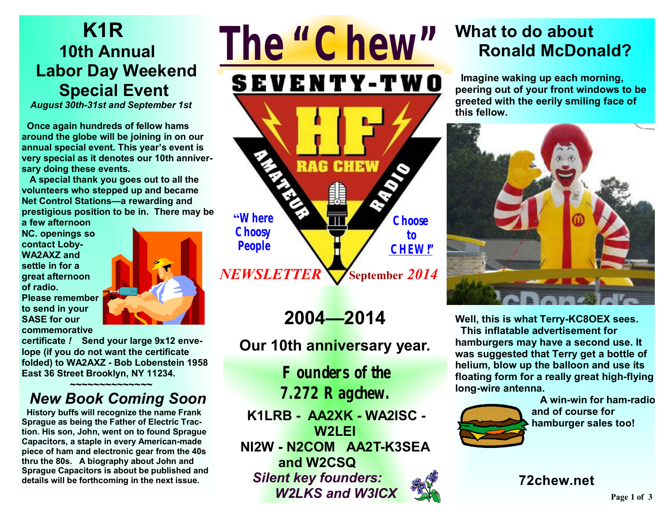# **K1R 10th Annual Labor Day Weekend Special Event**

*August 30th-31st and September 1st* 

 **Once again hundreds of fellow hams around the globe will be joining in on our annual special event. This year's event is very special as it denotes our 10th anniversary doing these events.** 

 **A special thank you goes out to all the volunteers who stepped up and became Net Control Stations—a rewarding and prestigious position to be in. There may be** 

**a few afternoon NC. openings so contact Loby-WA2AXZ and settle in for a great afternoon of radio. Please remember to send in your SASE for our commemorative** 



**certificate** *!* **Send your large 9x12 envelope (if you do not want the certificate folded) to WA2AXZ - Bob Lobenstein 1958 East 36 Street Brooklyn, NY 11234.** 

### ★<del>~</del>~~~~~~~~~~~~~~~ *New Book Coming Soon*

 **History buffs will recognize the name Frank Sprague as being the Father of Electric Traction. His son, John, went on to found Sprague Capacitors, a staple in every American-made piece of ham and electronic gear from the 40s thru the 80s. A biography about John and Sprague Capacitors is about be published and details will be forthcoming in the next issue.**



**2004—2014** 

**Our 10th anniversary year.** 

**Founders of the 7.272 Ragchew.**

**K1LRB - AA2XK - WA2ISC - W2LEI NI2W - N2COM AA2T-K3SEA and W2CSQ**  *Silent key founders: W2LKS and W3ICX*

## **What to do about Ronald McDonald?**

 **Imagine waking up each morning, peering out of your front windows to be greeted with the eerily smiling face of this fellow.** 



**Well, this is what Terry-KC8OEX sees. This inflatable advertisement for hamburgers may have a second use. It was suggested that Terry get a bottle of helium, blow up the balloon and use its floating form for a really great high-flying long-wire antenna.** 



 **A win-win for ham-radio and of course for hamburger sales too!** 

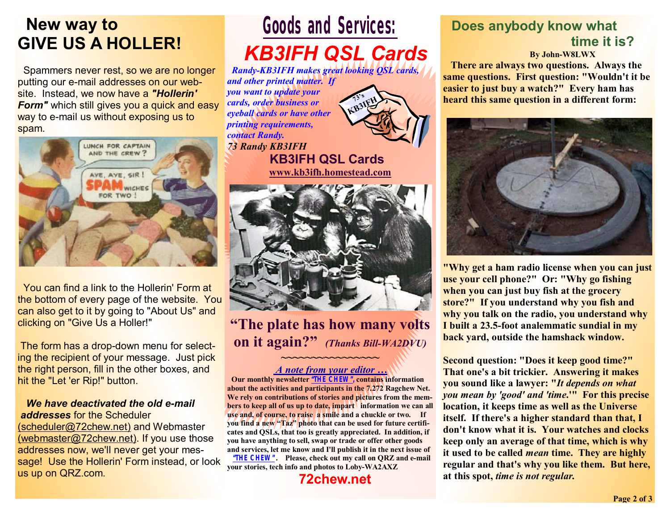## **New way to GIVE US A HOLLER!**

 Spammers never rest, so we are no longer putting our e-mail addresses on our website. Instead, we now have a *"Hollerin'*  **Form**" which still gives you a quick and easy way to e-mail us without exposing us to spam.



 You can find a link to the Hollerin' Form at the bottom of every page of the website. You can also get to it by going to "About Us" and clicking on "Give Us a Holler!"

The form has a drop-down menu for selecting the recipient of your message. Just pick the right person, fill in the other boxes, and hit the "Let 'er Rip!" button.

#### *We have deactivated the old e-mail addresses* for the Scheduler (scheduler@72chew.net) and Webmaster (webmaster@72chew.net). If you use those addresses now, we'll never get your message! Use the Hollerin' Form instead, or look us up on QRZ.com.

# **Goods and Services:**

# *KB3IFH QSL Cards*

*Randy-KB3IFH makes great looking QSL cards, and other printed matter. If you want to update your cards, order business or eyeball cards or have other printing requirements, contact Randy. 73 Randy KB3IFH*  **73's KB3IFH**

 **KB3IFH QSL Cards www.kb3ifh.homestead.com** 



**"The plate has how many volts on it again?"** *(Thanks Bill-WA2DVU)* **~~~~~~~~~~~~~~~~** 

#### *A note from your editor …*

 **Our monthly newsletter "THE CHEW", contains information about the activities and participants in the 7.272 Ragchew Net. We rely on contributions of stories and pictures from the members to keep all of us up to date, impart information we can all use and, of course, to raise a smile and a chuckle or two. If you find a new "Taz" photo that can be used for future certificates and QSLs, that too is greatly appreciated. In addition, if you have anything to sell, swap or trade or offer other goods and services, let me know and I'll publish it in the next issue of "THE CHEW". Please, check out my call on QRZ and e-mail your stories, tech info and photos to Loby-WA2AXZ** 

### **72chew.net**

### **Does anybody know what time it is?**

 **By John-W8LWX** 

**There are always two questions. Always the same questions. First question: "Wouldn't it be easier to just buy a watch?" Every ham has heard this same question in a different form:** 



**"Why get a ham radio license when you can just use your cell phone?" Or: "Why go fishing when you can just buy fish at the grocery store?" If you understand why you fish and why you talk on the radio, you understand why I built a 23.5-foot analemmatic sundial in my back yard, outside the hamshack window.** 

**Second question: "Does it keep good time?" That one's a bit trickier. Answering it makes you sound like a lawyer: "***It depends on what you mean by 'good' and 'time***.'" For this precise location, it keeps time as well as the Universe itself. If there's a higher standard than that, I don't know what it is. Your watches and clocks keep only an average of that time, which is why it used to be called** *mean* **time. They are highly regular and that's why you like them. But here, at this spot,** *time is not regular.*